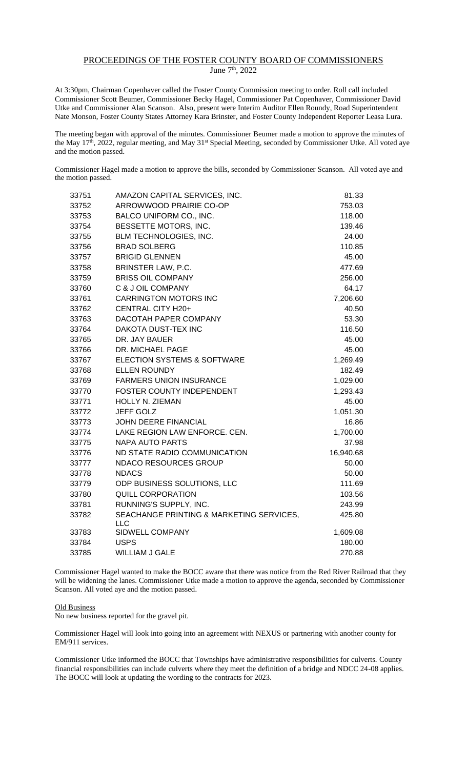## PROCEEDINGS OF THE FOSTER COUNTY BOARD OF COMMISSIONERS June 7<sup>th</sup>, 2022

At 3:30pm, Chairman Copenhaver called the Foster County Commission meeting to order. Roll call included Commissioner Scott Beumer, Commissioner Becky Hagel, Commissioner Pat Copenhaver, Commissioner David Utke and Commissioner Alan Scanson. Also, present were Interim Auditor Ellen Roundy, Road Superintendent Nate Monson, Foster County States Attorney Kara Brinster, and Foster County Independent Reporter Leasa Lura.

The meeting began with approval of the minutes. Commissioner Beumer made a motion to approve the minutes of the May  $17<sup>th</sup>$ , 2022, regular meeting, and May  $31<sup>st</sup>$  Special Meeting, seconded by Commissioner Utke. All voted aye and the motion passed.

Commissioner Hagel made a motion to approve the bills, seconded by Commissioner Scanson. All voted aye and the motion passed.

| 33751 | AMAZON CAPITAL SERVICES, INC.                          | 81.33     |
|-------|--------------------------------------------------------|-----------|
| 33752 | ARROWWOOD PRAIRIE CO-OP                                | 753.03    |
| 33753 | BALCO UNIFORM CO., INC.                                | 118.00    |
| 33754 | BESSETTE MOTORS, INC.                                  | 139.46    |
| 33755 | BLM TECHNOLOGIES, INC.                                 | 24.00     |
| 33756 | <b>BRAD SOLBERG</b>                                    | 110.85    |
| 33757 | <b>BRIGID GLENNEN</b>                                  | 45.00     |
| 33758 | BRINSTER LAW, P.C.                                     | 477.69    |
| 33759 | <b>BRISS OIL COMPANY</b>                               | 256.00    |
| 33760 | C & J OIL COMPANY                                      | 64.17     |
| 33761 | <b>CARRINGTON MOTORS INC</b>                           | 7,206.60  |
| 33762 | CENTRAL CITY H20+                                      | 40.50     |
| 33763 | DACOTAH PAPER COMPANY                                  | 53.30     |
| 33764 | DAKOTA DUST-TEX INC                                    | 116.50    |
| 33765 | DR. JAY BAUER                                          | 45.00     |
| 33766 | DR. MICHAEL PAGE                                       | 45.00     |
| 33767 | ELECTION SYSTEMS & SOFTWARE                            | 1,269.49  |
| 33768 | <b>ELLEN ROUNDY</b>                                    | 182.49    |
| 33769 | <b>FARMERS UNION INSURANCE</b>                         | 1,029.00  |
| 33770 | FOSTER COUNTY INDEPENDENT                              | 1,293.43  |
| 33771 | <b>HOLLY N. ZIEMAN</b>                                 | 45.00     |
| 33772 | <b>JEFF GOLZ</b>                                       | 1,051.30  |
| 33773 | JOHN DEERE FINANCIAL                                   | 16.86     |
| 33774 | LAKE REGION LAW ENFORCE. CEN.                          | 1,700.00  |
| 33775 | <b>NAPA AUTO PARTS</b>                                 | 37.98     |
| 33776 | ND STATE RADIO COMMUNICATION                           | 16,940.68 |
| 33777 | <b>NDACO RESOURCES GROUP</b>                           | 50.00     |
| 33778 | <b>NDACS</b>                                           | 50.00     |
| 33779 | ODP BUSINESS SOLUTIONS, LLC                            | 111.69    |
| 33780 | <b>QUILL CORPORATION</b>                               | 103.56    |
| 33781 | RUNNING'S SUPPLY, INC.                                 | 243.99    |
| 33782 | SEACHANGE PRINTING & MARKETING SERVICES,<br><b>LLC</b> | 425.80    |
| 33783 | SIDWELL COMPANY                                        | 1,609.08  |
| 33784 | <b>USPS</b>                                            | 180.00    |
| 33785 | <b>WILLIAM J GALE</b>                                  | 270.88    |

Commissioner Hagel wanted to make the BOCC aware that there was notice from the Red River Railroad that they will be widening the lanes. Commissioner Utke made a motion to approve the agenda, seconded by Commissioner Scanson. All voted aye and the motion passed.

## Old Business

No new business reported for the gravel pit.

Commissioner Hagel will look into going into an agreement with NEXUS or partnering with another county for EM/911 services.

Commissioner Utke informed the BOCC that Townships have administrative responsibilities for culverts. County financial responsibilities can include culverts where they meet the definition of a bridge and NDCC 24-08 applies. The BOCC will look at updating the wording to the contracts for 2023.